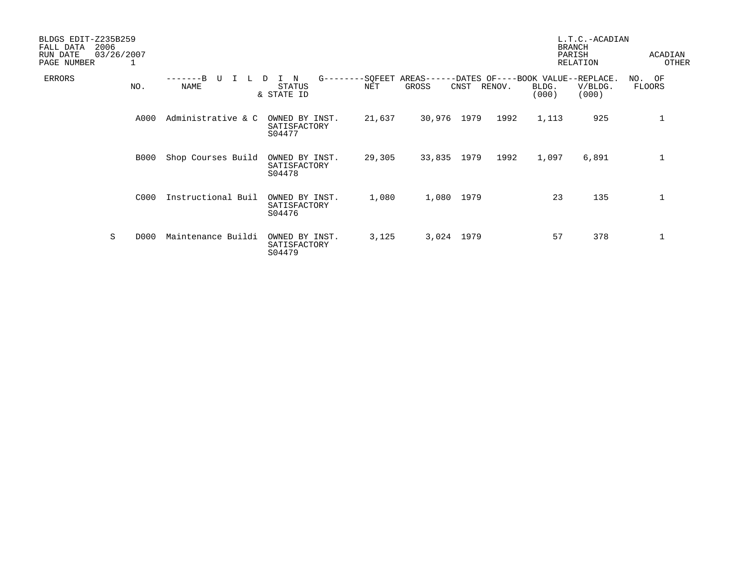| BLDGS EDIT-Z235B259<br>2006<br>FALL DATA<br>RUN DATE<br>PAGE NUMBER | 03/26/2007<br>1 |                    |                                          |                        |                     |      |        |                | L.T.C.-ACADIAN<br><b>BRANCH</b><br>PARISH<br>RELATION | ACADIAN<br>OTHER           |
|---------------------------------------------------------------------|-----------------|--------------------|------------------------------------------|------------------------|---------------------|------|--------|----------------|-------------------------------------------------------|----------------------------|
| <b>ERRORS</b>                                                       | NO.             | τT<br>NAME         | N<br><b>STATUS</b><br>& STATE ID         | $G------SOFEET$<br>NET | $AREAS---$<br>GROSS | CNST | RENOV. | BLDG.<br>(000) | -DATES OF----BOOK VALUE--REPLACE.<br>V/BLDG.<br>(000) | NO.<br>OF<br><b>FLOORS</b> |
|                                                                     | A000            | Administrative & C | OWNED BY INST.<br>SATISFACTORY<br>S04477 | 21,637                 | 30,976              | 1979 | 1992   | 1,113          | 925                                                   | 1                          |
|                                                                     | <b>B000</b>     | Shop Courses Build | OWNED BY INST.<br>SATISFACTORY<br>S04478 | 29,305                 | 33,835              | 1979 | 1992   | 1,097          | 6,891                                                 | 1                          |
|                                                                     | C000            | Instructional Buil | OWNED BY INST.<br>SATISFACTORY<br>S04476 | 1,080                  | 1,080               | 1979 |        | 23             | 135                                                   | $\mathbf 1$                |
| S                                                                   | D000            | Maintenance Buildi | OWNED BY INST.<br>SATISFACTORY<br>S04479 | 3,125                  | 3,024               | 1979 |        | 57             | 378                                                   | $\mathbf 1$                |